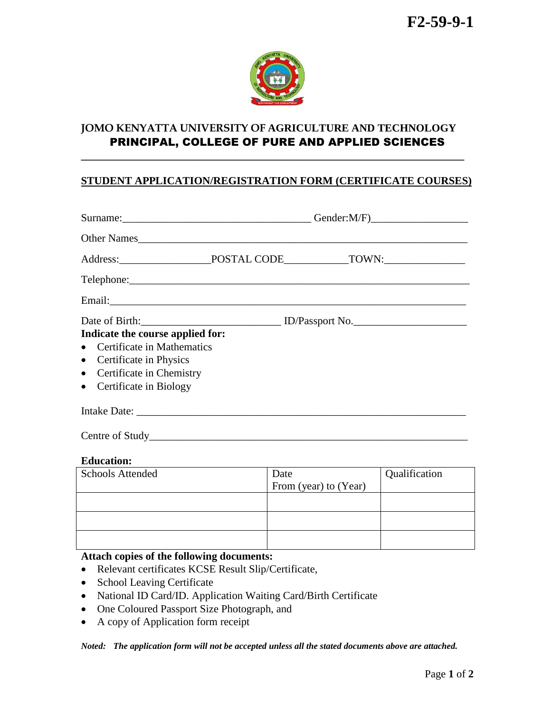

# **JOMO KENYATTA UNIVERSITY OF AGRICULTURE AND TECHNOLOGY** PRINCIPAL, COLLEGE OF PURE AND APPLIED SCIENCES

**\_\_\_\_\_\_\_\_\_\_\_\_\_\_\_\_\_\_\_\_\_\_\_\_\_\_\_\_\_\_\_\_\_\_\_\_\_\_\_\_\_\_\_\_\_\_\_\_\_\_\_\_\_\_\_\_\_\_\_\_\_\_\_\_\_\_\_\_\_\_\_**

### **STUDENT APPLICATION/REGISTRATION FORM (CERTIFICATE COURSES)**

| Other Names                                                                                                                                                 |                               |               |  |  |  |
|-------------------------------------------------------------------------------------------------------------------------------------------------------------|-------------------------------|---------------|--|--|--|
|                                                                                                                                                             |                               |               |  |  |  |
|                                                                                                                                                             |                               |               |  |  |  |
|                                                                                                                                                             |                               |               |  |  |  |
| Indicate the course applied for:<br>Certificate in Mathematics<br>Certificate in Physics<br>$\bullet$<br>Certificate in Chemistry<br>Certificate in Biology |                               |               |  |  |  |
|                                                                                                                                                             |                               |               |  |  |  |
|                                                                                                                                                             |                               |               |  |  |  |
| <b>Education:</b>                                                                                                                                           |                               |               |  |  |  |
| <b>Schools Attended</b>                                                                                                                                     | Date<br>From (year) to (Year) | Qualification |  |  |  |

| . | .                     | . |
|---|-----------------------|---|
|   | From (year) to (Year) |   |
|   |                       |   |
|   |                       |   |
|   |                       |   |
|   |                       |   |

## **Attach copies of the following documents:**

- Relevant certificates KCSE Result Slip/Certificate,
- School Leaving Certificate
- National ID Card/ID. Application Waiting Card/Birth Certificate
- One Coloured Passport Size Photograph, and
- A copy of Application form receipt

*Noted: The application form will not be accepted unless all the stated documents above are attached.*